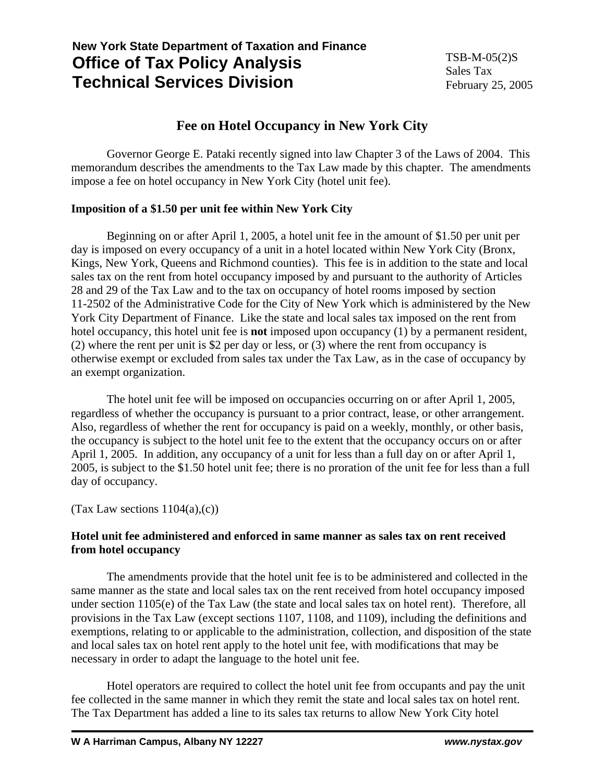# **New York State Department of Taxation and Finance Office of Tax Policy Analysis Technical Services Division**

# **Fee on Hotel Occupancy in New York City**

 Governor George E. Pataki recently signed into law Chapter 3 of the Laws of 2004. This memorandum describes the amendments to the Tax Law made by this chapter. The amendments impose a fee on hotel occupancy in New York City (hotel unit fee).

## **Imposition of a \$1.50 per unit fee within New York City**

Beginning on or after April 1, 2005, a hotel unit fee in the amount of \$1.50 per unit per day is imposed on every occupancy of a unit in a hotel located within New York City (Bronx, Kings, New York, Queens and Richmond counties). This fee is in addition to the state and local sales tax on the rent from hotel occupancy imposed by and pursuant to the authority of Articles 28 and 29 of the Tax Law and to the tax on occupancy of hotel rooms imposed by section 11-2502 of the Administrative Code for the City of New York which is administered by the New York City Department of Finance. Like the state and local sales tax imposed on the rent from hotel occupancy, this hotel unit fee is **not** imposed upon occupancy (1) by a permanent resident, (2) where the rent per unit is \$2 per day or less, or (3) where the rent from occupancy is otherwise exempt or excluded from sales tax under the Tax Law, as in the case of occupancy by an exempt organization.

 The hotel unit fee will be imposed on occupancies occurring on or after April 1, 2005, regardless of whether the occupancy is pursuant to a prior contract, lease, or other arrangement. Also, regardless of whether the rent for occupancy is paid on a weekly, monthly, or other basis, the occupancy is subject to the hotel unit fee to the extent that the occupancy occurs on or after April 1, 2005. In addition, any occupancy of a unit for less than a full day on or after April 1, 2005, is subject to the \$1.50 hotel unit fee; there is no proration of the unit fee for less than a full day of occupancy.

(Tax Law sections  $1104(a)$ , $(c)$ )

# **Hotel unit fee administered and enforced in same manner as sales tax on rent received from hotel occupancy**

 The amendments provide that the hotel unit fee is to be administered and collected in the same manner as the state and local sales tax on the rent received from hotel occupancy imposed under section 1105(e) of the Tax Law (the state and local sales tax on hotel rent). Therefore, all provisions in the Tax Law (except sections 1107, 1108, and 1109), including the definitions and exemptions, relating to or applicable to the administration, collection, and disposition of the state and local sales tax on hotel rent apply to the hotel unit fee, with modifications that may be necessary in order to adapt the language to the hotel unit fee.

 Hotel operators are required to collect the hotel unit fee from occupants and pay the unit fee collected in the same manner in which they remit the state and local sales tax on hotel rent. The Tax Department has added a line to its sales tax returns to allow New York City hotel